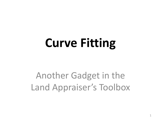# **Curve Fitting**

# Another Gadget in the Land Appraiser's Toolbox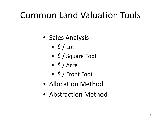# Common Land Valuation Tools

- Sales Analysis
	- $\overline{\phantom{a}}$  \$ / Lot
	- $\overline{\phantom{a}}$  \$ / Square Foot
	- $\frac{1}{5}$  / Acre
	- \$/Front Foot
- Allocation Method
- Abstraction Method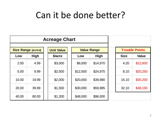# Can it be done better?

| <b>Acreage Chart</b>      |             |                   |                    |             |             |              |                       |  |
|---------------------------|-------------|-------------------|--------------------|-------------|-------------|--------------|-----------------------|--|
| <b>Size Range (acres)</b> |             | <b>Unit Value</b> | <b>Value Range</b> |             |             |              | <b>Trouble Points</b> |  |
| Low                       | <b>High</b> | \$/acre           | Low                | <b>High</b> | <b>Size</b> | <b>Value</b> |                       |  |
| 2.00                      | 4.99        | \$3,000           | \$6,000            | \$14,970    | 4.20        | \$12,600     |                       |  |
| 5.00                      | 9.99        | \$2,500           | \$12,500           | \$24,975    | 8.10        | \$20,250     |                       |  |
| 10.00                     | 19.99       | \$2,000           | \$20,000           | \$39,980    | 15.10       | \$30,200     |                       |  |
| 20.00                     | 39.99       | \$1,500           | \$30,000           | \$59,985    | 32.10       | \$48,150     |                       |  |
| 40.00                     | 80,00       | \$1,200           | \$48,000           | \$96,000    |             |              |                       |  |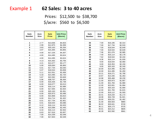# Example 1 **62 Sales: 3 to 40 acres**

 Prices: \$12,500 to \$38,700 \$/acre: \$560 to \$6,500

| <b>Sale</b><br><b>Number</b> | Acre<br><b>Size</b> | <b>Sale</b><br><b>Price</b> | <b>Unit Price</b><br>\$/acre) |  |
|------------------------------|---------------------|-----------------------------|-------------------------------|--|
|                              |                     |                             |                               |  |
| 1                            | 2.77                | \$13,636                    | \$4,923                       |  |
| $\overline{2}$               | 2.99                | \$12,875                    | \$4,306                       |  |
| 3                            | 3.83                | \$20,163                    | \$5,264                       |  |
| 4                            | 3.97                | \$15,305                    | \$3,855                       |  |
| 5                            | 4.00                | \$17,226                    | \$4,307                       |  |
| 6                            | 4.00                | \$14,495                    | \$3,624                       |  |
| 7                            | 4.00                | \$14,495                    | \$3,624                       |  |
| 8                            | 4.13                | \$15,302                    | \$3,705                       |  |
| 9                            | 4.21                | \$13,377                    | \$3,177                       |  |
| 10                           | 5.00                | \$29,000                    | \$5,800                       |  |
| 11                           | 5.01                | \$17,734                    | \$3,540                       |  |
| 12                           | 5.07                | \$18,544                    | \$3,658                       |  |
| 13                           | 5.11                | \$12,551                    | \$2,456                       |  |
| 14                           | 5.33                | \$14,495                    | \$2,720                       |  |
| 15                           | 5.87                | \$22,592                    | \$3,849                       |  |
| 16                           | 5.96                | \$38,707                    | \$6,494                       |  |
| 17                           | 6.00                | \$16,426                    | \$2,738                       |  |
| 18                           | 6.00                | \$18,077                    | \$3,013                       |  |
| 19                           | 6.00                | \$16,114                    | \$2,686                       |  |
| 20                           | 6.00                | \$17,005                    | \$2,834                       |  |
| 21                           | 6.00                | \$20,163                    | \$3,361                       |  |
| 22                           | 6.00                | \$20,973                    | \$3,496                       |  |
| 23                           | 6.00                | \$22,858                    | \$3,810                       |  |
| 24                           | 6.00                | \$14,714                    | \$2,452                       |  |
| 25                           | 6.01                | \$17,734                    | \$2,951                       |  |
| 26                           | 6.01                | \$18,544                    | \$3,086                       |  |
| 27                           | 6.12                | \$16,114                    | \$2,633                       |  |
| 28                           | 6.38                | \$15,598                    | \$2,445                       |  |
| 29                           | 6.44                | \$16,114                    | \$2,502                       |  |
| 30                           | 6.63                | \$17,616                    | \$2,657                       |  |
| 31                           | 7.00                | \$14,339                    | \$2,048                       |  |
| 32                           | 7.00                | \$17,843                    | \$2,549                       |  |

| Sale<br>Number | Acre<br><b>Size</b> | <b>Sale</b><br><b>Price</b> | <b>Unit Price</b><br>( <b>Since</b> ) |
|----------------|---------------------|-----------------------------|---------------------------------------|
|                |                     |                             |                                       |
| 33             | 7.00                | \$16,195                    | \$2,314                               |
| 34             | 7.00                | \$17,734                    | \$2,533                               |
| 35             | 7.00                | \$18,544                    | \$2,649                               |
| 36             | 7.00                | \$18,544                    | \$2,649                               |
| 37             | 7.06                | \$21,076                    | \$2,985                               |
| 38             | 7.40                | \$16,114                    | \$2,178                               |
| 39             | 7.62                | \$18,544                    | \$2,434                               |
| 40             | 8.36                | \$16,114                    | \$1,928                               |
| 41             | 9.00                | \$18,544                    | \$2,060                               |
| 42             | 9.00                | \$19,353                    | \$2,150                               |
| 43             | 9.00                | \$20,163                    | \$2,240                               |
| 44             | 10.00               | \$14,495                    | \$1,450                               |
| 45             | 10.00               | \$14,495                    | \$1,450                               |
| 46             | 10.21               | \$18,271                    | \$1,790                               |
| 47             | 10.67               | \$14,435                    | \$1,353                               |
| 48             | 10.98               | \$35,468                    | \$3,230                               |
| 49             | 11.00               | \$20,973                    | \$1,907                               |
| 50             | 11.00               | \$21,783                    | \$1,980                               |
| 51             | 12.00               | \$23,931                    | \$1,994                               |
| 52             | 12.00               | \$20,163                    | \$1,680                               |
| 53             | 12.00               | \$21,783                    | \$1,815                               |
| 54             | 12.00               | \$19,112                    | \$1,593                               |
| 55             | 16.41               | \$19,234                    | \$1,172                               |
| 56             | 18.08               | \$34,728                    | \$1,921                               |
| 57             | 20.00               | \$29,231                    | \$1,462                               |
| 58             | 31.00               | \$30,503                    | \$984                                 |
| 59             | 36.02               | \$26,641                    | \$740                                 |
| 60             | 36.11               | \$26,173                    | \$725                                 |
| 61             | 40.01               | \$24,212                    | \$605                                 |
| 62             | 40.28               | \$22,592                    | \$561                                 |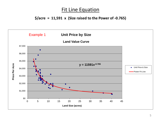### **\$/acre = 11,591 x (Size raised to the Power of -0.765)**

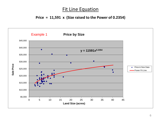### **Price = 11,591 x (Size raised to the Power of 0.2354)**

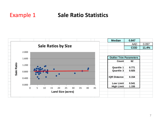# Example 1 **Sale Ratio Statistics**

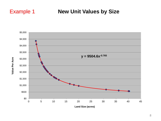# Example 1 **New Unit Values by Size**



Value Per Acre **Value Per Acre**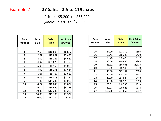## Example 2 **27 Sales: 2.5 to 119 acres**

 Prices: \$5,200 to \$66,000 \$/acre: \$320 to \$7,800

| <b>Sale</b><br><b>Number</b> | Acre<br><b>Size</b> | <b>Sale</b><br><b>Price</b> | <b>Unit Price</b><br>\$/acre) |  |
|------------------------------|---------------------|-----------------------------|-------------------------------|--|
|                              |                     |                             |                               |  |
| 1                            | 2.52                | \$16,600                    | \$6,587                       |  |
| $\mathbf 2$                  | 2.52                | \$18,882                    | \$7,493                       |  |
| 3                            | 4.02                | \$18,237                    | \$4,537                       |  |
| 4                            | 4.07                | \$31,575                    | \$7,758                       |  |
| 5                            | 5.00                | \$5,162                     | \$1,032                       |  |
| 6                            | 5.00                | \$18,171                    | \$3,634                       |  |
| 7                            | 5.06                | \$8,409                     | \$1,662                       |  |
| 8                            | 5.35                | \$16,873                    | \$3,154                       |  |
| 9                            | 7.42                | \$14,249                    | \$1,920                       |  |
| 10                           | 8.77                | \$16,043                    | \$1,829                       |  |
| 11                           | 9.14                | \$39,559                    | \$4,328                       |  |
| 12                           | 10.86               | \$13,243                    | \$1,219                       |  |
| 13                           | 10.86               | \$15,196                    | \$1,399                       |  |
| 14                           | 20.00               | \$17,334                    | \$867                         |  |

| Sale<br><b>Number</b> | Acre<br><b>Size</b> | Sale<br><b>Price</b> | <b>Unit Price</b><br>\$/acre) |
|-----------------------|---------------------|----------------------|-------------------------------|
|                       |                     |                      |                               |
| 15                    | 34.09               | \$23,379             | \$686                         |
| 16                    | 36.41               | \$15,290             | \$420                         |
| 17                    | 36.45               | \$35,426             | \$972                         |
| 18                    | 36.56               | \$10,695             | \$293                         |
| 19                    | 38.11               | \$66,036             | \$1,733                       |
| 20                    | 39.99               | \$15,146             | \$379                         |
| 21                    | 40.00               | \$27,197             | \$680                         |
| 22                    | 40.00               | \$28,322             | \$708                         |
| 23                    | 40.00               | \$17,924             | \$448                         |
| 24                    | 40.38               | \$16,120             | \$399                         |
| 25                    | 80.01               | \$49,538             | \$619                         |
| 26                    | 80.03               | \$29,923             | \$374                         |
| 27                    | 119.35              | \$37,865             | \$317                         |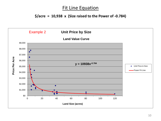## **\$/acre = 10,938 x (Size raised to the Power of -0.784)**

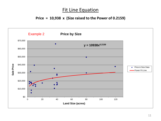### **Price = 10,938 x (Size raised to the Power of 0.2159)**

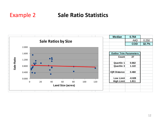# Example 2 **Sale Ratio Statistics**